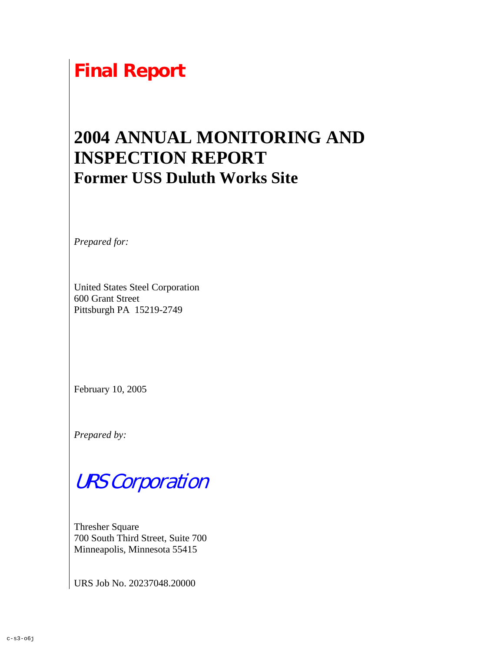# **Final Report**

## **2004 ANNUAL MONITORING AND INSPECTION REPORT Former USS Duluth Works Site**

*Prepared for:* 

United States Steel Corporation 600 Grant Street Pittsburgh PA 15219-2749

February 10, 2005

*Prepared by:* 

# URS Corporation

Thresher Square 700 South Third Street, Suite 700 Minneapolis, Minnesota 55415

URS Job No. 20237048.20000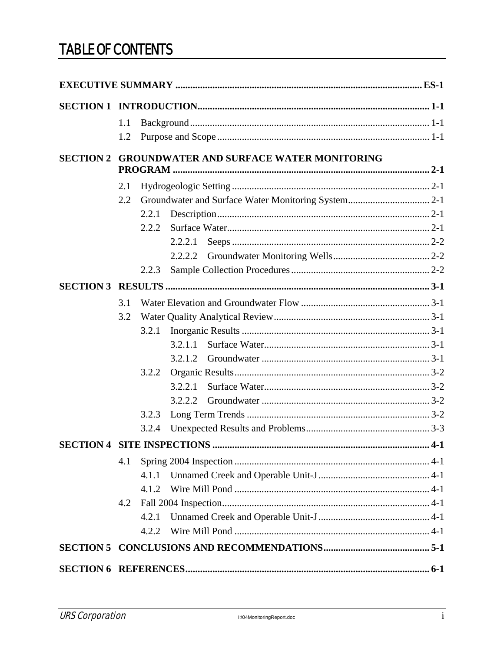### **TABLE OF CONTENTS**

|                                                    | 1.1                                       |       |         |  |  |  |
|----------------------------------------------------|-------------------------------------------|-------|---------|--|--|--|
|                                                    | 1.2                                       |       |         |  |  |  |
| SECTION 2 GROUNDWATER AND SURFACE WATER MONITORING |                                           |       |         |  |  |  |
|                                                    |                                           |       |         |  |  |  |
|                                                    | 2.1                                       |       |         |  |  |  |
|                                                    | 2.2                                       |       |         |  |  |  |
|                                                    |                                           | 2.2.1 |         |  |  |  |
|                                                    |                                           | 2.2.2 |         |  |  |  |
|                                                    |                                           |       | 2.2.2.1 |  |  |  |
|                                                    |                                           |       | 2.2.2.2 |  |  |  |
|                                                    |                                           | 2.2.3 |         |  |  |  |
|                                                    |                                           |       |         |  |  |  |
|                                                    | 3.1                                       |       |         |  |  |  |
|                                                    | 3.2                                       |       |         |  |  |  |
|                                                    |                                           | 3.2.1 |         |  |  |  |
|                                                    |                                           |       | 3.2.1.1 |  |  |  |
|                                                    |                                           |       | 3.2.1.2 |  |  |  |
|                                                    |                                           | 3.2.2 |         |  |  |  |
|                                                    |                                           |       | 3.2.2.1 |  |  |  |
|                                                    |                                           |       | 3.2.2.2 |  |  |  |
|                                                    |                                           | 3.2.3 |         |  |  |  |
|                                                    |                                           | 3.2.4 |         |  |  |  |
|                                                    | <b>SECTION 4 SITE INSPECTIONS </b><br>4-1 |       |         |  |  |  |
|                                                    | 4.1                                       |       |         |  |  |  |
|                                                    |                                           | 4.1.1 |         |  |  |  |
|                                                    |                                           | 4.1.2 |         |  |  |  |
|                                                    | 4.2                                       |       |         |  |  |  |
|                                                    |                                           | 4.2.1 |         |  |  |  |
|                                                    |                                           | 4.2.2 |         |  |  |  |
|                                                    |                                           |       |         |  |  |  |
|                                                    |                                           |       |         |  |  |  |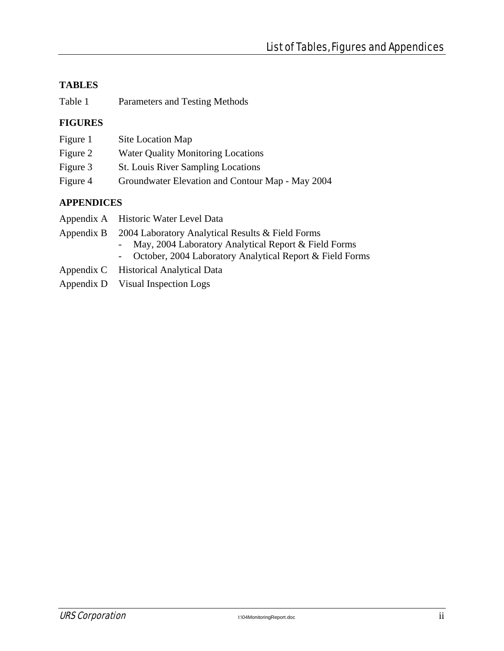#### **TABLES**

| Table 1 | Parameters and Testing Methods |
|---------|--------------------------------|
|---------|--------------------------------|

#### **FIGURES**

| Figure 1 | Site Location Map                                |
|----------|--------------------------------------------------|
| Figure 2 | <b>Water Quality Monitoring Locations</b>        |
| Figure 3 | <b>St.</b> Louis River Sampling Locations        |
| Figure 4 | Groundwater Elevation and Contour Map - May 2004 |

#### **APPENDICES**

| Appendix A Historic Water Level Data                        |
|-------------------------------------------------------------|
| Appendix B 2004 Laboratory Analytical Results & Field Forms |
| - May, 2004 Laboratory Analytical Report & Field Forms      |

- October, 2004 Laboratory Analytical Report & Field Forms
- Appendix C Historical Analytical Data
- Appendix D Visual Inspection Logs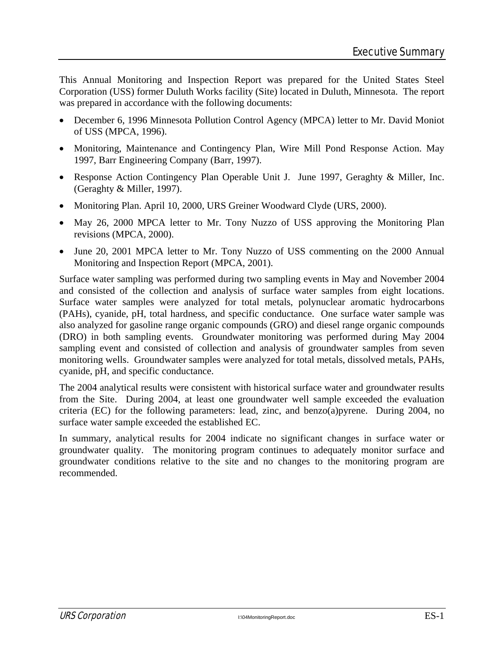This Annual Monitoring and Inspection Report was prepared for the United States Steel Corporation (USS) former Duluth Works facility (Site) located in Duluth, Minnesota. The report was prepared in accordance with the following documents:

- December 6, 1996 Minnesota Pollution Control Agency (MPCA) letter to Mr. David Moniot of USS (MPCA, 1996).
- Monitoring, Maintenance and Contingency Plan, Wire Mill Pond Response Action. May 1997, Barr Engineering Company (Barr, 1997).
- Response Action Contingency Plan Operable Unit J. June 1997, Geraghty & Miller, Inc. (Geraghty & Miller, 1997).
- Monitoring Plan. April 10, 2000, URS Greiner Woodward Clyde (URS, 2000).
- May 26, 2000 MPCA letter to Mr. Tony Nuzzo of USS approving the Monitoring Plan revisions (MPCA, 2000).
- June 20, 2001 MPCA letter to Mr. Tony Nuzzo of USS commenting on the 2000 Annual Monitoring and Inspection Report (MPCA, 2001).

Surface water sampling was performed during two sampling events in May and November 2004 and consisted of the collection and analysis of surface water samples from eight locations. Surface water samples were analyzed for total metals, polynuclear aromatic hydrocarbons (PAHs), cyanide, pH, total hardness, and specific conductance. One surface water sample was also analyzed for gasoline range organic compounds (GRO) and diesel range organic compounds (DRO) in both sampling events. Groundwater monitoring was performed during May 2004 sampling event and consisted of collection and analysis of groundwater samples from seven monitoring wells. Groundwater samples were analyzed for total metals, dissolved metals, PAHs, cyanide, pH, and specific conductance.

The 2004 analytical results were consistent with historical surface water and groundwater results from the Site. During 2004, at least one groundwater well sample exceeded the evaluation criteria (EC) for the following parameters: lead, zinc, and benzo(a)pyrene. During 2004, no surface water sample exceeded the established EC.

In summary, analytical results for 2004 indicate no significant changes in surface water or groundwater quality. The monitoring program continues to adequately monitor surface and groundwater conditions relative to the site and no changes to the monitoring program are recommended.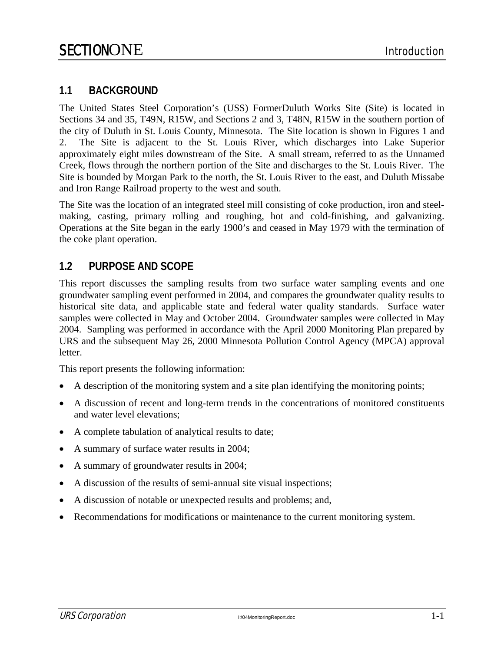#### **1.1 BACKGROUND**

The United States Steel Corporation's (USS) FormerDuluth Works Site (Site) is located in Sections 34 and 35, T49N, R15W, and Sections 2 and 3, T48N, R15W in the southern portion of the city of Duluth in St. Louis County, Minnesota. The Site location is shown in Figures 1 and 2. The Site is adjacent to the St. Louis River, which discharges into Lake Superior approximately eight miles downstream of the Site. A small stream, referred to as the Unnamed Creek, flows through the northern portion of the Site and discharges to the St. Louis River. The Site is bounded by Morgan Park to the north, the St. Louis River to the east, and Duluth Missabe and Iron Range Railroad property to the west and south.

The Site was the location of an integrated steel mill consisting of coke production, iron and steelmaking, casting, primary rolling and roughing, hot and cold-finishing, and galvanizing. Operations at the Site began in the early 1900's and ceased in May 1979 with the termination of the coke plant operation.

#### **1.2 PURPOSE AND SCOPE**

This report discusses the sampling results from two surface water sampling events and one groundwater sampling event performed in 2004, and compares the groundwater quality results to historical site data, and applicable state and federal water quality standards. Surface water samples were collected in May and October 2004. Groundwater samples were collected in May 2004. Sampling was performed in accordance with the April 2000 Monitoring Plan prepared by URS and the subsequent May 26, 2000 Minnesota Pollution Control Agency (MPCA) approval letter.

This report presents the following information:

- A description of the monitoring system and a site plan identifying the monitoring points;
- A discussion of recent and long-term trends in the concentrations of monitored constituents and water level elevations;
- A complete tabulation of analytical results to date;
- A summary of surface water results in 2004;
- A summary of groundwater results in 2004;
- A discussion of the results of semi-annual site visual inspections;
- A discussion of notable or unexpected results and problems; and,
- Recommendations for modifications or maintenance to the current monitoring system.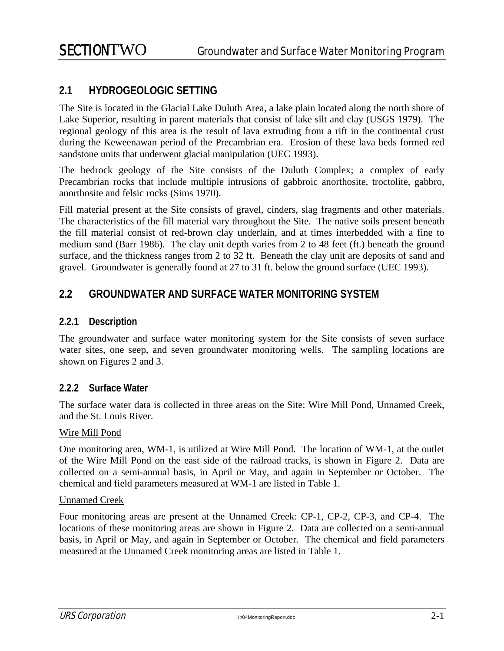#### **2.1 HYDROGEOLOGIC SETTING**

The Site is located in the Glacial Lake Duluth Area, a lake plain located along the north shore of Lake Superior, resulting in parent materials that consist of lake silt and clay (USGS 1979). The regional geology of this area is the result of lava extruding from a rift in the continental crust during the Keweenawan period of the Precambrian era. Erosion of these lava beds formed red sandstone units that underwent glacial manipulation (UEC 1993).

The bedrock geology of the Site consists of the Duluth Complex; a complex of early Precambrian rocks that include multiple intrusions of gabbroic anorthosite, troctolite, gabbro, anorthosite and felsic rocks (Sims 1970).

Fill material present at the Site consists of gravel, cinders, slag fragments and other materials. The characteristics of the fill material vary throughout the Site. The native soils present beneath the fill material consist of red-brown clay underlain, and at times interbedded with a fine to medium sand (Barr 1986). The clay unit depth varies from 2 to 48 feet (ft.) beneath the ground surface, and the thickness ranges from 2 to 32 ft. Beneath the clay unit are deposits of sand and gravel. Groundwater is generally found at 27 to 31 ft. below the ground surface (UEC 1993).

#### **2.2 GROUNDWATER AND SURFACE WATER MONITORING SYSTEM**

#### **2.2.1 Description**

The groundwater and surface water monitoring system for the Site consists of seven surface water sites, one seep, and seven groundwater monitoring wells. The sampling locations are shown on Figures 2 and 3.

#### **2.2.2 Surface Water**

The surface water data is collected in three areas on the Site: Wire Mill Pond, Unnamed Creek, and the St. Louis River.

#### Wire Mill Pond

One monitoring area, WM-1, is utilized at Wire Mill Pond. The location of WM-1, at the outlet of the Wire Mill Pond on the east side of the railroad tracks, is shown in Figure 2. Data are collected on a semi-annual basis, in April or May, and again in September or October. The chemical and field parameters measured at WM-1 are listed in Table 1.

#### Unnamed Creek

Four monitoring areas are present at the Unnamed Creek: CP-1, CP-2, CP-3, and CP-4. The locations of these monitoring areas are shown in Figure 2. Data are collected on a semi-annual basis, in April or May, and again in September or October. The chemical and field parameters measured at the Unnamed Creek monitoring areas are listed in Table 1.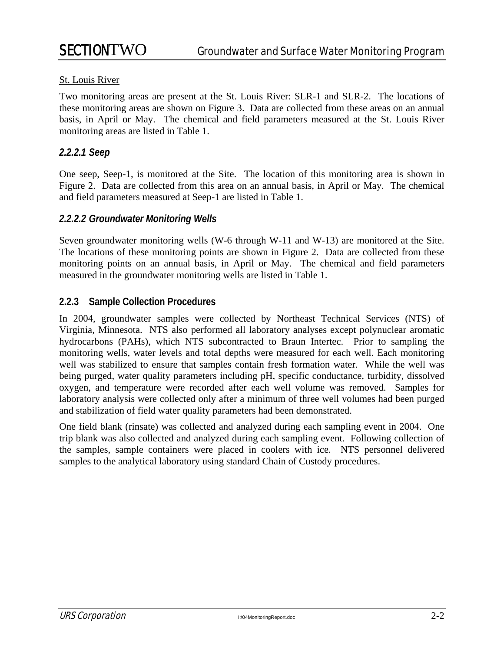#### St. Louis River

Two monitoring areas are present at the St. Louis River: SLR-1 and SLR-2. The locations of these monitoring areas are shown on Figure 3. Data are collected from these areas on an annual basis, in April or May. The chemical and field parameters measured at the St. Louis River monitoring areas are listed in Table 1.

#### *2.2.2.1 Seep*

One seep, Seep-1, is monitored at the Site. The location of this monitoring area is shown in Figure 2. Data are collected from this area on an annual basis, in April or May. The chemical and field parameters measured at Seep-1 are listed in Table 1.

#### *2.2.2.2 Groundwater Monitoring Wells*

Seven groundwater monitoring wells (W-6 through W-11 and W-13) are monitored at the Site. The locations of these monitoring points are shown in Figure 2. Data are collected from these monitoring points on an annual basis, in April or May. The chemical and field parameters measured in the groundwater monitoring wells are listed in Table 1.

#### **2.2.3 Sample Collection Procedures**

In 2004, groundwater samples were collected by Northeast Technical Services (NTS) of Virginia, Minnesota. NTS also performed all laboratory analyses except polynuclear aromatic hydrocarbons (PAHs), which NTS subcontracted to Braun Intertec. Prior to sampling the monitoring wells, water levels and total depths were measured for each well. Each monitoring well was stabilized to ensure that samples contain fresh formation water. While the well was being purged, water quality parameters including pH, specific conductance, turbidity, dissolved oxygen, and temperature were recorded after each well volume was removed. Samples for laboratory analysis were collected only after a minimum of three well volumes had been purged and stabilization of field water quality parameters had been demonstrated.

One field blank (rinsate) was collected and analyzed during each sampling event in 2004. One trip blank was also collected and analyzed during each sampling event. Following collection of the samples, sample containers were placed in coolers with ice. NTS personnel delivered samples to the analytical laboratory using standard Chain of Custody procedures.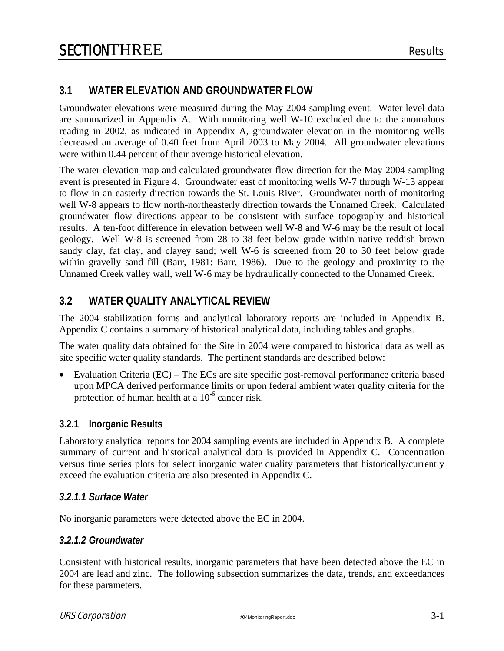#### **3.1 WATER ELEVATION AND GROUNDWATER FLOW**

Groundwater elevations were measured during the May 2004 sampling event. Water level data are summarized in Appendix A. With monitoring well W-10 excluded due to the anomalous reading in 2002, as indicated in Appendix A, groundwater elevation in the monitoring wells decreased an average of 0.40 feet from April 2003 to May 2004. All groundwater elevations were within 0.44 percent of their average historical elevation.

The water elevation map and calculated groundwater flow direction for the May 2004 sampling event is presented in Figure 4. Groundwater east of monitoring wells W-7 through W-13 appear to flow in an easterly direction towards the St. Louis River. Groundwater north of monitoring well W-8 appears to flow north-northeasterly direction towards the Unnamed Creek. Calculated groundwater flow directions appear to be consistent with surface topography and historical results. A ten-foot difference in elevation between well W-8 and W-6 may be the result of local geology. Well W-8 is screened from 28 to 38 feet below grade within native reddish brown sandy clay, fat clay, and clayey sand; well W-6 is screened from 20 to 30 feet below grade within gravelly sand fill (Barr, 1981; Barr, 1986). Due to the geology and proximity to the Unnamed Creek valley wall, well W-6 may be hydraulically connected to the Unnamed Creek.

#### **3.2 WATER QUALITY ANALYTICAL REVIEW**

The 2004 stabilization forms and analytical laboratory reports are included in Appendix B. Appendix C contains a summary of historical analytical data, including tables and graphs.

The water quality data obtained for the Site in 2004 were compared to historical data as well as site specific water quality standards. The pertinent standards are described below:

• Evaluation Criteria (EC) – The ECs are site specific post-removal performance criteria based upon MPCA derived performance limits or upon federal ambient water quality criteria for the protection of human health at a  $10^{-6}$  cancer risk.

#### **3.2.1 Inorganic Results**

Laboratory analytical reports for 2004 sampling events are included in Appendix B. A complete summary of current and historical analytical data is provided in Appendix C. Concentration versus time series plots for select inorganic water quality parameters that historically/currently exceed the evaluation criteria are also presented in Appendix C.

#### *3.2.1.1 Surface Water*

No inorganic parameters were detected above the EC in 2004.

#### *3.2.1.2 Groundwater*

Consistent with historical results, inorganic parameters that have been detected above the EC in 2004 are lead and zinc. The following subsection summarizes the data, trends, and exceedances for these parameters.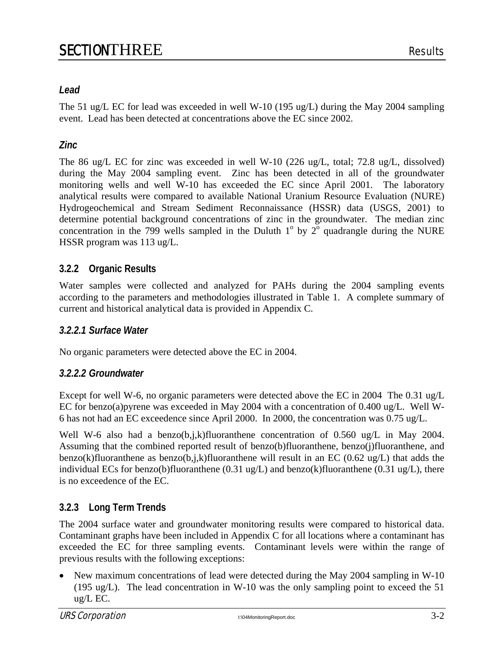#### *Lead*

The 51 ug/L EC for lead was exceeded in well W-10 (195 ug/L) during the May 2004 sampling event. Lead has been detected at concentrations above the EC since 2002.

#### *Zinc*

The 86 ug/L EC for zinc was exceeded in well W-10 (226 ug/L, total; 72.8 ug/L, dissolved) during the May 2004 sampling event. Zinc has been detected in all of the groundwater monitoring wells and well W-10 has exceeded the EC since April 2001. The laboratory analytical results were compared to available National Uranium Resource Evaluation (NURE) Hydrogeochemical and Stream Sediment Reconnaissance (HSSR) data (USGS, 2001) to determine potential background concentrations of zinc in the groundwater. The median zinc concentration in the 799 wells sampled in the Duluth  $1^{\circ}$  by  $2^{\circ}$  quadrangle during the NURE HSSR program was 113 ug/L.

#### **3.2.2 Organic Results**

Water samples were collected and analyzed for PAHs during the 2004 sampling events according to the parameters and methodologies illustrated in Table 1. A complete summary of current and historical analytical data is provided in Appendix C.

#### *3.2.2.1 Surface Water*

No organic parameters were detected above the EC in 2004.

#### *3.2.2.2 Groundwater*

Except for well W-6, no organic parameters were detected above the EC in 2004 The 0.31 ug/L EC for benzo(a)pyrene was exceeded in May 2004 with a concentration of 0.400 ug/L. Well W-6 has not had an EC exceedence since April 2000. In 2000, the concentration was 0.75 ug/L.

Well W-6 also had a benzo(b,j,k)fluoranthene concentration of 0.560 ug/L in May 2004. Assuming that the combined reported result of benzo(b)fluoranthene, benzo(j)fluoranthene, and benzo(k)fluoranthene as benzo(b,j,k)fluoranthene will result in an EC (0.62 ug/L) that adds the individual ECs for benzo(b)fluoranthene (0.31 ug/L) and benzo(k)fluoranthene (0.31 ug/L), there is no exceedence of the EC.

### **3.2.3 Long Term Trends**

The 2004 surface water and groundwater monitoring results were compared to historical data. Contaminant graphs have been included in Appendix C for all locations where a contaminant has exceeded the EC for three sampling events. Contaminant levels were within the range of previous results with the following exceptions:

• New maximum concentrations of lead were detected during the May 2004 sampling in W-10 (195 ug/L). The lead concentration in W-10 was the only sampling point to exceed the 51 ug/L EC.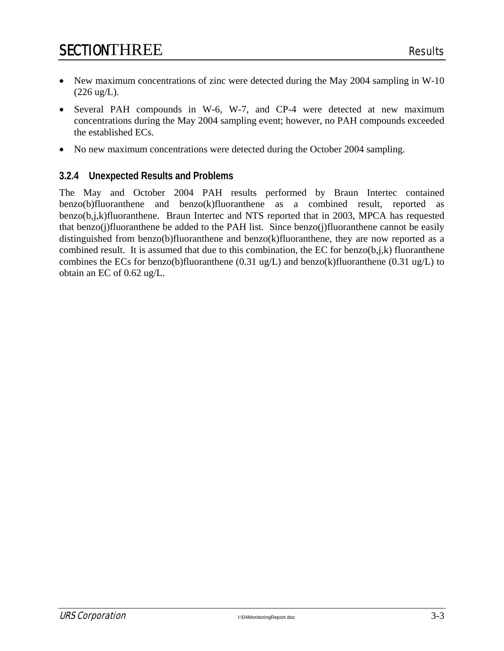- New maximum concentrations of zinc were detected during the May 2004 sampling in W-10  $(226 \text{ ug/L}).$
- Several PAH compounds in W-6, W-7, and CP-4 were detected at new maximum concentrations during the May 2004 sampling event; however, no PAH compounds exceeded the established ECs.
- No new maximum concentrations were detected during the October 2004 sampling.

#### **3.2.4 Unexpected Results and Problems**

The May and October 2004 PAH results performed by Braun Intertec contained benzo(b)fluoranthene and benzo(k)fluoranthene as a combined result, reported as benzo(b,j,k)fluoranthene. Braun Intertec and NTS reported that in 2003, MPCA has requested that benzo(j)fluoranthene be added to the PAH list. Since benzo(j)fluoranthene cannot be easily distinguished from benzo(b)fluoranthene and benzo(k)fluoranthene, they are now reported as a combined result. It is assumed that due to this combination, the EC for benzo $(b,i,k)$  fluoranthene combines the ECs for benzo(b)fluoranthene  $(0.31 \text{ ug/L})$  and benzo(k)fluoranthene  $(0.31 \text{ ug/L})$  to obtain an EC of 0.62 ug/L.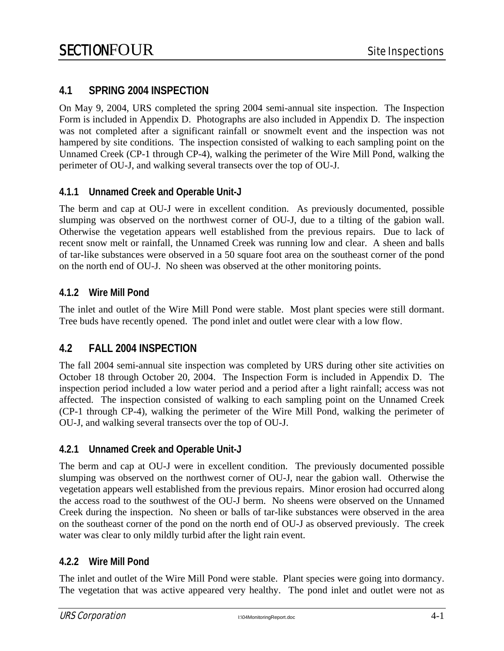#### **4.1 SPRING 2004 INSPECTION**

On May 9, 2004, URS completed the spring 2004 semi-annual site inspection. The Inspection Form is included in Appendix D. Photographs are also included in Appendix D. The inspection was not completed after a significant rainfall or snowmelt event and the inspection was not hampered by site conditions. The inspection consisted of walking to each sampling point on the Unnamed Creek (CP-1 through CP-4), walking the perimeter of the Wire Mill Pond, walking the perimeter of OU-J, and walking several transects over the top of OU-J.

#### **4.1.1 Unnamed Creek and Operable Unit-J**

The berm and cap at OU-J were in excellent condition. As previously documented, possible slumping was observed on the northwest corner of OU-J, due to a tilting of the gabion wall. Otherwise the vegetation appears well established from the previous repairs. Due to lack of recent snow melt or rainfall, the Unnamed Creek was running low and clear. A sheen and balls of tar-like substances were observed in a 50 square foot area on the southeast corner of the pond on the north end of OU-J. No sheen was observed at the other monitoring points.

#### **4.1.2 Wire Mill Pond**

The inlet and outlet of the Wire Mill Pond were stable. Most plant species were still dormant. Tree buds have recently opened. The pond inlet and outlet were clear with a low flow.

#### **4.2 FALL 2004 INSPECTION**

The fall 2004 semi-annual site inspection was completed by URS during other site activities on October 18 through October 20, 2004. The Inspection Form is included in Appendix D. The inspection period included a low water period and a period after a light rainfall; access was not affected. The inspection consisted of walking to each sampling point on the Unnamed Creek (CP-1 through CP-4), walking the perimeter of the Wire Mill Pond, walking the perimeter of OU-J, and walking several transects over the top of OU-J.

#### **4.2.1 Unnamed Creek and Operable Unit-J**

The berm and cap at OU-J were in excellent condition. The previously documented possible slumping was observed on the northwest corner of OU-J, near the gabion wall. Otherwise the vegetation appears well established from the previous repairs. Minor erosion had occurred along the access road to the southwest of the OU-J berm. No sheens were observed on the Unnamed Creek during the inspection. No sheen or balls of tar-like substances were observed in the area on the southeast corner of the pond on the north end of OU-J as observed previously. The creek water was clear to only mildly turbid after the light rain event.

#### **4.2.2 Wire Mill Pond**

The inlet and outlet of the Wire Mill Pond were stable. Plant species were going into dormancy. The vegetation that was active appeared very healthy. The pond inlet and outlet were not as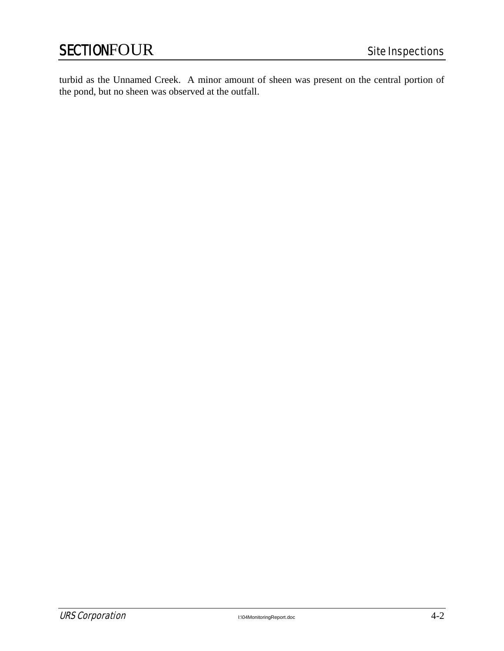turbid as the Unnamed Creek. A minor amount of sheen was present on the central portion of the pond, but no sheen was observed at the outfall.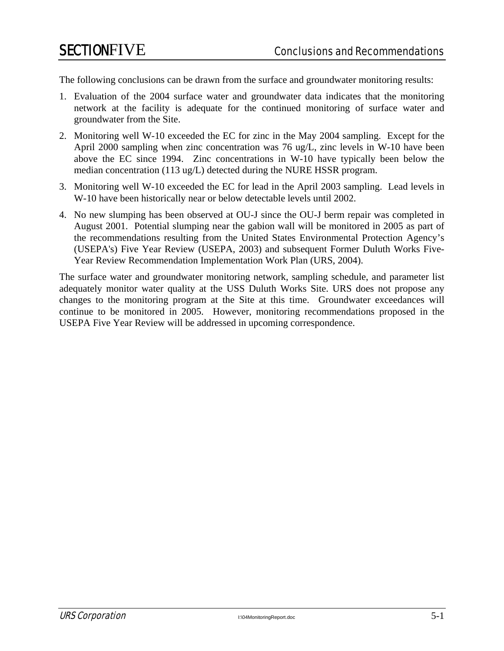The following conclusions can be drawn from the surface and groundwater monitoring results:

- 1. Evaluation of the 2004 surface water and groundwater data indicates that the monitoring network at the facility is adequate for the continued monitoring of surface water and groundwater from the Site.
- 2. Monitoring well W-10 exceeded the EC for zinc in the May 2004 sampling. Except for the April 2000 sampling when zinc concentration was 76 ug/L, zinc levels in W-10 have been above the EC since 1994. Zinc concentrations in W-10 have typically been below the median concentration (113 ug/L) detected during the NURE HSSR program.
- 3. Monitoring well W-10 exceeded the EC for lead in the April 2003 sampling. Lead levels in W-10 have been historically near or below detectable levels until 2002.
- 4. No new slumping has been observed at OU-J since the OU-J berm repair was completed in August 2001. Potential slumping near the gabion wall will be monitored in 2005 as part of the recommendations resulting from the United States Environmental Protection Agency's (USEPA's) Five Year Review (USEPA, 2003) and subsequent Former Duluth Works Five-Year Review Recommendation Implementation Work Plan (URS, 2004).

The surface water and groundwater monitoring network, sampling schedule, and parameter list adequately monitor water quality at the USS Duluth Works Site. URS does not propose any changes to the monitoring program at the Site at this time. Groundwater exceedances will continue to be monitored in 2005. However, monitoring recommendations proposed in the USEPA Five Year Review will be addressed in upcoming correspondence.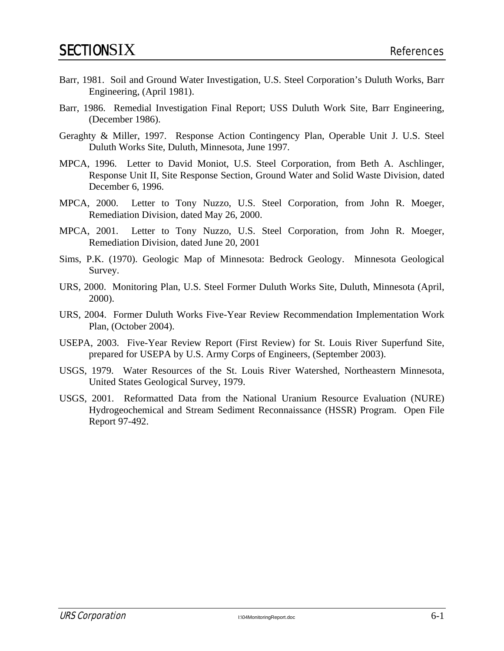- Barr, 1981. Soil and Ground Water Investigation, U.S. Steel Corporation's Duluth Works, Barr Engineering, (April 1981).
- Barr, 1986. Remedial Investigation Final Report; USS Duluth Work Site, Barr Engineering, (December 1986).
- Geraghty & Miller, 1997. Response Action Contingency Plan, Operable Unit J. U.S. Steel Duluth Works Site, Duluth, Minnesota, June 1997.
- MPCA, 1996. Letter to David Moniot, U.S. Steel Corporation, from Beth A. Aschlinger, Response Unit II, Site Response Section, Ground Water and Solid Waste Division, dated December 6, 1996.
- MPCA, 2000. Letter to Tony Nuzzo, U.S. Steel Corporation, from John R. Moeger, Remediation Division, dated May 26, 2000.
- MPCA, 2001. Letter to Tony Nuzzo, U.S. Steel Corporation, from John R. Moeger, Remediation Division, dated June 20, 2001
- Sims, P.K. (1970). Geologic Map of Minnesota: Bedrock Geology. Minnesota Geological Survey.
- URS, 2000. Monitoring Plan, U.S. Steel Former Duluth Works Site, Duluth, Minnesota (April, 2000).
- URS, 2004. Former Duluth Works Five-Year Review Recommendation Implementation Work Plan, (October 2004).
- USEPA, 2003. Five-Year Review Report (First Review) for St. Louis River Superfund Site, prepared for USEPA by U.S. Army Corps of Engineers, (September 2003).
- USGS, 1979. Water Resources of the St. Louis River Watershed, Northeastern Minnesota, United States Geological Survey, 1979.
- USGS, 2001. Reformatted Data from the National Uranium Resource Evaluation (NURE) Hydrogeochemical and Stream Sediment Reconnaissance (HSSR) Program. Open File Report 97-492.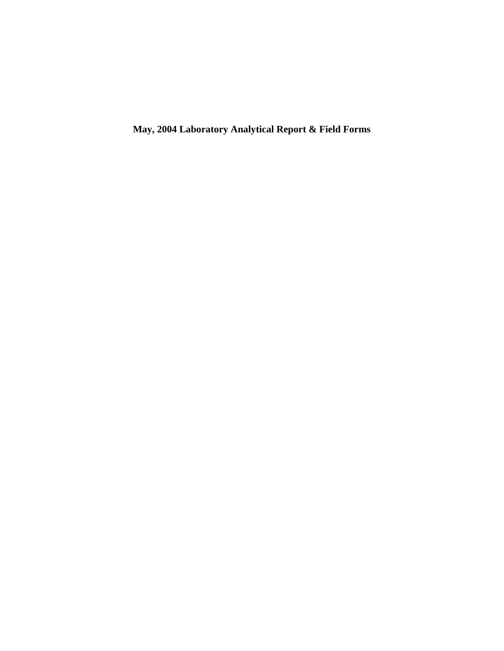**May, 2004 Laboratory Analytical Report & Field Forms**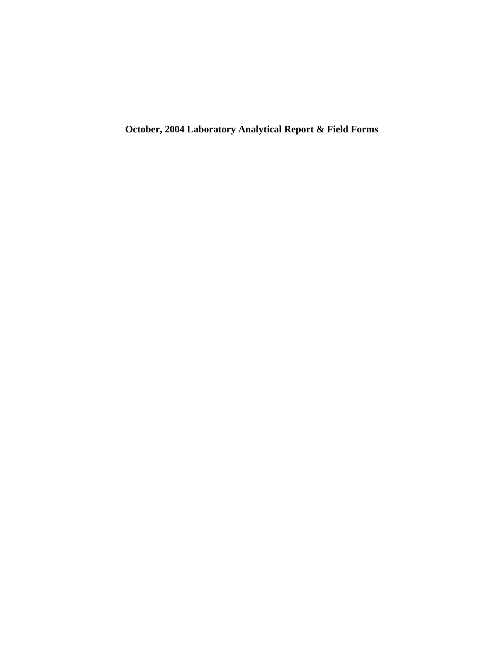**October, 2004 Laboratory Analytical Report & Field Forms**